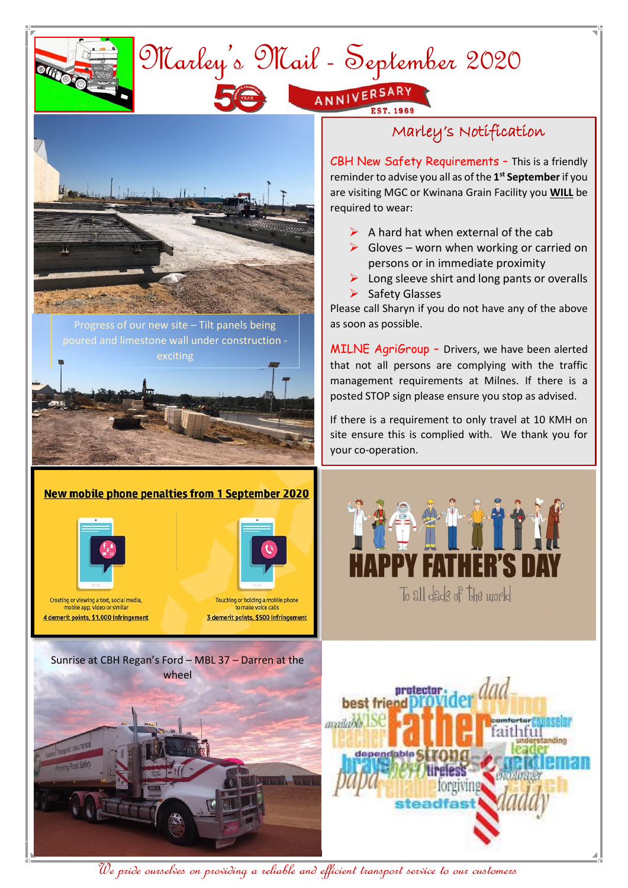

We pride ourselves on providing a reliable and efficient transport service to our customers